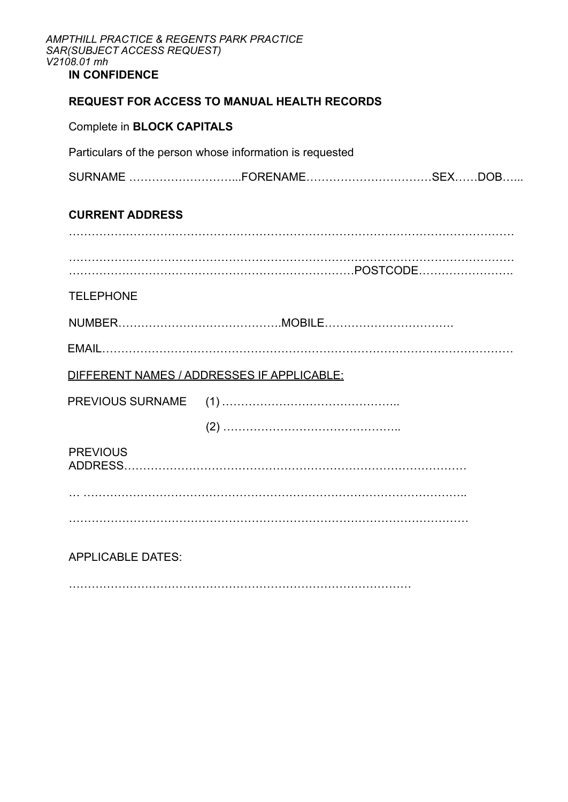| AMPTHILL PRACTICE & REGENTS PARK PRACTICE<br>SAR(SUBJECT ACCESS REQUEST)<br>V2108.01 mh<br><b>IN CONFIDENCE</b> |                                                                                                                                                                                                    |  |  |  |  |  |
|-----------------------------------------------------------------------------------------------------------------|----------------------------------------------------------------------------------------------------------------------------------------------------------------------------------------------------|--|--|--|--|--|
|                                                                                                                 | <b>REQUEST FOR ACCESS TO MANUAL HEALTH RECORDS</b>                                                                                                                                                 |  |  |  |  |  |
|                                                                                                                 | <b>Complete in BLOCK CAPITALS</b>                                                                                                                                                                  |  |  |  |  |  |
|                                                                                                                 | Particulars of the person whose information is requested<br><b>CURRENT ADDRESS</b><br><b>TELEPHONE</b><br>DIFFERENT NAMES / ADDRESSES IF APPLICABLE:<br><b>PREVIOUS SURNAME</b><br><b>PREVIOUS</b> |  |  |  |  |  |
|                                                                                                                 |                                                                                                                                                                                                    |  |  |  |  |  |
|                                                                                                                 |                                                                                                                                                                                                    |  |  |  |  |  |
|                                                                                                                 |                                                                                                                                                                                                    |  |  |  |  |  |
|                                                                                                                 |                                                                                                                                                                                                    |  |  |  |  |  |
|                                                                                                                 |                                                                                                                                                                                                    |  |  |  |  |  |
|                                                                                                                 |                                                                                                                                                                                                    |  |  |  |  |  |
|                                                                                                                 |                                                                                                                                                                                                    |  |  |  |  |  |
|                                                                                                                 |                                                                                                                                                                                                    |  |  |  |  |  |
|                                                                                                                 |                                                                                                                                                                                                    |  |  |  |  |  |
|                                                                                                                 | ADDRESS.                                                                                                                                                                                           |  |  |  |  |  |
|                                                                                                                 |                                                                                                                                                                                                    |  |  |  |  |  |
|                                                                                                                 |                                                                                                                                                                                                    |  |  |  |  |  |
|                                                                                                                 | <b>APPLICABLE DATES:</b>                                                                                                                                                                           |  |  |  |  |  |
|                                                                                                                 |                                                                                                                                                                                                    |  |  |  |  |  |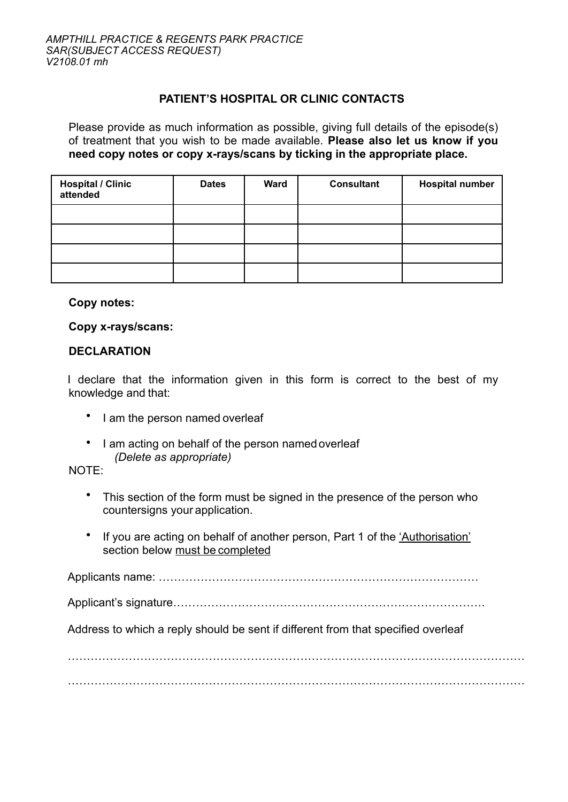## **PATIENT'S HOSPITAL OR CLINIC CONTACTS**

Please provide as much information as possible, giving full details of the episode(s) of treatment that you wish to be made available. **Please also let us know if you need copy notes or copy x-rays/scans by ticking in the appropriate place.** 

| <b>Hospital / Clinic</b><br>attended | <b>Dates</b> | <b>Ward</b> | <b>Consultant</b> | <b>Hospital number</b> |
|--------------------------------------|--------------|-------------|-------------------|------------------------|
|                                      |              |             |                   |                        |
|                                      |              |             |                   |                        |
|                                      |              |             |                   |                        |
|                                      |              |             |                   |                        |

### **Copy notes:**

#### **Copy x-rays/scans:**

### **DECLARATION**

I declare that the information given in this form is correct to the best of my knowledge and that:

- I am the person named overleaf
- I am acting on behalf of the person named overleaf *(Delete as appropriate)*

NOTE:

- This section of the form must be signed in the presence of the person who countersigns your application.
- If you are acting on behalf of another person, Part 1 of the 'Authorisation' section below must be completed

Applicants name: …………………………………………………………………………

Applicant's signature……………………………………………………………………….

Address to which a reply should be sent if different from that specified overleaf

. The contract of the contract of the contract of the contract of the contract of the contract of the contract of the contract of the contract of the contract of the contract of the contract of the contract of the contrac . The contract of the contract of the contract of the contract of the contract of the contract of the contract of the contract of the contract of the contract of the contract of the contract of the contract of the contrac